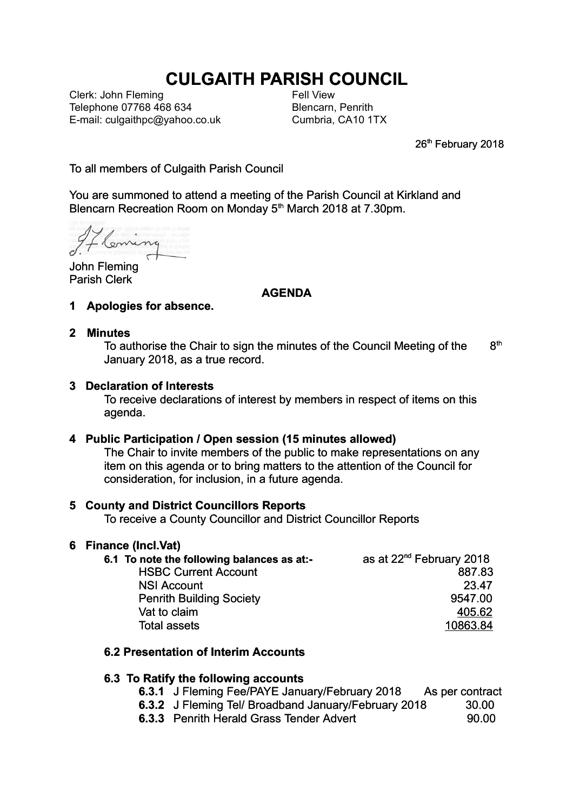# **CULGAITH PARISH COUNCIL**

Clerk: John Fleming Telephone 07768 468 634 E-mail: culgaithpc@yahoo.co.uk Fell View Blencarn, Penrith Cumbria, CA10 1TX

26<sup>th</sup> February 2018

To all members of Culgaith Parish Council

You are summoned to attend a meeting of the Parish Council at Kirkland and Blencarn Recreation Room on Monday 5<sup>th</sup> March 2018 at 7.30pm.

enne

John Fleming Parish Clerk

## **AGENDA**

**1 Apologies for absence.**

#### **2 Minutes**

To authorise the Chair to sign the minutes of the Council Meeting of the  $8<sup>th</sup>$ January 2018, as a true record.

## **3 Declaration of Interests**

To receive declarations of interest by members in respect of items on this agenda.

#### **4 Public Participation / Open session (15 minutes allowed)**

The Chair to invite members of the public to make representations on any item on this agenda or to bring matters to the attention of the Council for consideration, for inclusion, in a future agenda.

# **5 County and District Councillors Reports**

To receive a County Councillor and District Councillor Reports

#### **6 Finance (Incl.Vat)**

| 6.1 To note the following balances as at:- | as at 22 <sup>nd</sup> February 2018 |
|--------------------------------------------|--------------------------------------|
| <b>HSBC Current Account</b>                | 887.83                               |
| <b>NSI Account</b>                         | 23.47                                |
| <b>Penrith Building Society</b>            | 9547.00                              |
| Vat to claim                               | 405.62                               |
| <b>Total assets</b>                        | 10863.84                             |

# **6.2 Presentation of Interim Accounts**

# **6.3 To Ratify the following accounts**

- **6.3.1** J Fleming Fee/PAYE January/February 2018 As per contract
- **6.3.2** J Fleming Tel/ Broadband January/February 2018 30.00
- **6.3.3** Penrith Herald Grass Tender Advert 90.00